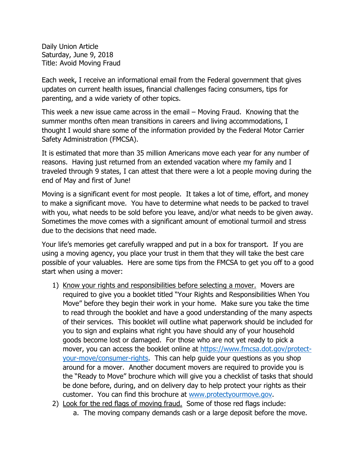Daily Union Article Saturday, June 9, 2018 Title: Avoid Moving Fraud

Each week, I receive an informational email from the Federal government that gives updates on current health issues, financial challenges facing consumers, tips for parenting, and a wide variety of other topics.

This week a new issue came across in the email – Moving Fraud. Knowing that the summer months often mean transitions in careers and living accommodations, I thought I would share some of the information provided by the Federal Motor Carrier Safety Administration (FMCSA).

It is estimated that more than 35 million Americans move each year for any number of reasons. Having just returned from an extended vacation where my family and I traveled through 9 states, I can attest that there were a lot a people moving during the end of May and first of June!

Moving is a significant event for most people. It takes a lot of time, effort, and money to make a significant move. You have to determine what needs to be packed to travel with you, what needs to be sold before you leave, and/or what needs to be given away. Sometimes the move comes with a significant amount of emotional turmoil and stress due to the decisions that need made.

Your life's memories get carefully wrapped and put in a box for transport. If you are using a moving agency, you place your trust in them that they will take the best care possible of your valuables. Here are some tips from the FMCSA to get you off to a good start when using a mover:

- 1) Know your rights and responsibilities before selecting a mover. Movers are required to give you a booklet titled "Your Rights and Responsibilities When You Move" before they begin their work in your home. Make sure you take the time to read through the booklet and have a good understanding of the many aspects of their services. This booklet will outline what paperwork should be included for you to sign and explains what right you have should any of your household goods become lost or damaged. For those who are not yet ready to pick a mover, you can access the booklet online at https://www.fmcsa.dot.gov/protectyour-move/consumer-rights. This can help guide your questions as you shop around for a mover. Another document movers are required to provide you is the "Ready to Move" brochure which will give you a checklist of tasks that should be done before, during, and on delivery day to help protect your rights as their customer. You can find this brochure at www.protectyourmove.gov.
- 2) Look for the red flags of moving fraud. Some of those red flags include:
	- a. The moving company demands cash or a large deposit before the move.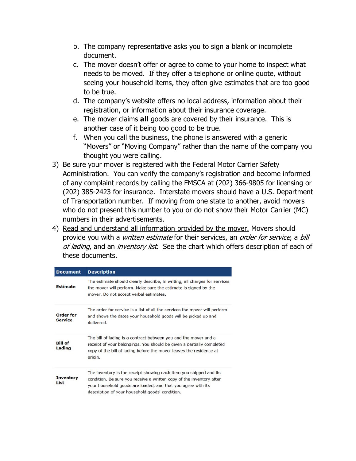- b. The company representative asks you to sign a blank or incomplete document.
- c. The mover doesn't offer or agree to come to your home to inspect what needs to be moved. If they offer a telephone or online quote, without seeing your household items, they often give estimates that are too good to be true.
- d. The company's website offers no local address, information about their registration, or information about their insurance coverage.
- e. The mover claims **all** goods are covered by their insurance. This is another case of it being too good to be true.
- f. When you call the business, the phone is answered with a generic "Movers" or "Moving Company" rather than the name of the company you thought you were calling.
- 3) Be sure your mover is registered with the Federal Motor Carrier Safety Administration. You can verify the company's registration and become informed of any complaint records by calling the FMSCA at (202) 366-9805 for licensing or (202) 385-2423 for insurance. Interstate movers should have a U.S. Department of Transportation number. If moving from one state to another, avoid movers who do not present this number to you or do not show their Motor Carrier (MC) numbers in their advertisements.
- 4) Read and understand all information provided by the mover. Movers should provide you with a *written estimate* for their services, an order for service, a bill of lading, and an inventory list. See the chart which offers description of each of these documents.

| <b>Document</b>             | <b>Description</b>                                                                                                                                                                                                                                            |
|-----------------------------|---------------------------------------------------------------------------------------------------------------------------------------------------------------------------------------------------------------------------------------------------------------|
| <b>Estimate</b>             | The estimate should clearly describe, in writing, all charges for services<br>the mover will perform. Make sure the estimate is signed by the<br>mover. Do not accept verbal estimates.                                                                       |
| Order for<br><b>Service</b> | The order for service is a list of all the services the mover will perform<br>and shows the dates your household goods will be picked up and<br>delivered.                                                                                                    |
| <b>Bill of</b><br>Lading    | The bill of lading is a contract between you and the mover and a<br>receipt of your belongings. You should be given a partially completed<br>copy of the bill of lading before the mover leaves the residence at<br>origin.                                   |
| Inventory<br>List           | The inventory is the receipt showing each item you shipped and its<br>condition. Be sure you receive a written copy of the inventory after<br>your household goods are loaded, and that you agree with its<br>description of your household goods' condition. |